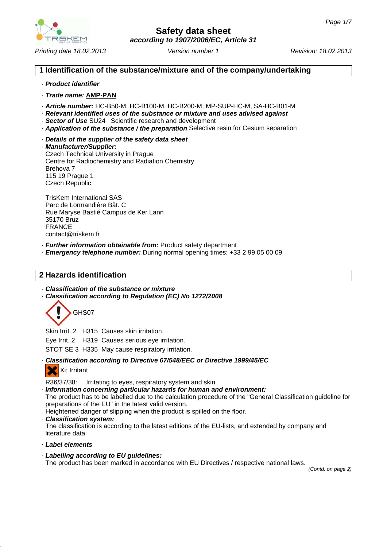

*Printing date 18.02.2013 Revision: 18.02.2013 Version number 1*

## **1 Identification of the substance/mixture and of the company/undertaking**

### · *Product identifier*

- · *Trade name:* **AMP-PAN**
- · *Article number:* HC-B50-M, HC-B100-M, HC-B200-M, MP-SUP-HC-M, SA-HC-B01-M
- · *Relevant identified uses of the substance or mixture and uses advised against*
- · *Sector of Use* SU24 Scientific research and development
- · *Application of the substance / the preparation* Selective resin for Cesium separation
- · *Details of the supplier of the safety data sheet*

· *Manufacturer/Supplier:* Czech Technical University in Prague Centre for Radiochemistry and Radiation Chemistry Brehova 7 115 19 Prague 1 Czech Republic

TrisKem International SAS Parc de Lormandière Bât. C Rue Maryse Bastié Campus de Ker Lann 35170 Bruz FRANCE contact@triskem.fr

- · *Further information obtainable from:* Product safety department
- · *Emergency telephone number:* During normal opening times: +33 2 99 05 00 09

# **2 Hazards identification**

· *Classification of the substance or mixture* · *Classification according to Regulation (EC) No 1272/2008*



Skin Irrit. 2 H315 Causes skin irritation.

Eye Irrit. 2 H319 Causes serious eye irritation.

STOT SE 3 H335 May cause respiratory irritation.

· *Classification according to Directive 67/548/EEC or Directive 1999/45/EC*



R36/37/38: Irritating to eyes, respiratory system and skin.

- · *Information concerning particular hazards for human and environment:* The product has to be labelled due to the calculation procedure of the "General Classification guideline for preparations of the EU" in the latest valid version. Heightened danger of slipping when the product is spilled on the floor.
- · *Classification system:* The classification is according to the latest editions of the EU-lists, and extended by company and literature data.
- · *Label elements*
- · *Labelling according to EU guidelines:* The product has been marked in accordance with EU Directives / respective national laws.

*(Contd. on page 2)*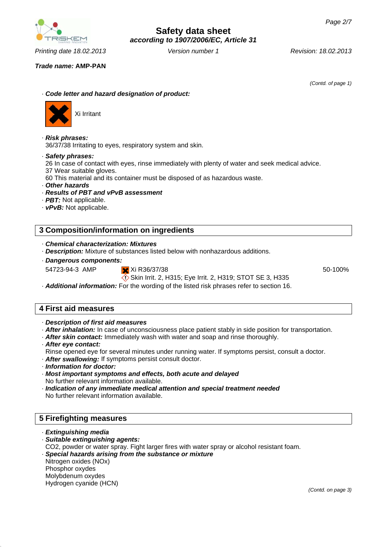*Printing date 18.02.2013 Revision: 18.02.2013 Version number 1*

*Trade name:* **AMP-PAN**

*(Contd. of page 1)*

· *Code letter and hazard designation of product:*



Xi Irritant

- · *Risk phrases:* 36/37/38 Irritating to eyes, respiratory system and skin.
- · *Safety phrases:*

26 In case of contact with eyes, rinse immediately with plenty of water and seek medical advice.

37 Wear suitable gloves.

60 This material and its container must be disposed of as hazardous waste.

- · *Other hazards*
- · *Results of PBT and vPvB assessment*
- · *PBT:* Not applicable.
- · *vPvB:* Not applicable.

## **3 Composition/information on ingredients**

- · *Chemical characterization: Mixtures*
- · *Description:* Mixture of substances listed below with nonhazardous additions.
- · *Dangerous components:* 54723-94-3 AMP Xi R36/37/38

Skin Irrit. 2, H315; Eye Irrit. 2, H319; STOT SE 3, H335

50-100%

· *Additional information:* For the wording of the listed risk phrases refer to section 16.

## **4 First aid measures**

- · *Description of first aid measures*
- · *After inhalation:* In case of unconsciousness place patient stably in side position for transportation.
- · *After skin contact:* Immediately wash with water and soap and rinse thoroughly.
- · *After eye contact:*
- Rinse opened eye for several minutes under running water. If symptoms persist, consult a doctor.
- · *After swallowing:* If symptoms persist consult doctor.
- · *Information for doctor:*
- · *Most important symptoms and effects, both acute and delayed* No further relevant information available.
- · *Indication of any immediate medical attention and special treatment needed* No further relevant information available.

# **5 Firefighting measures**

- · *Extinguishing media*
- · *Suitable extinguishing agents:*
- CO2, powder or water spray. Fight larger fires with water spray or alcohol resistant foam.
- · *Special hazards arising from the substance or mixture*
- Nitrogen oxides (NOx)
- Phosphor oxydes
- Molybdenum oxydes
- Hydrogen cyanide (HCN)

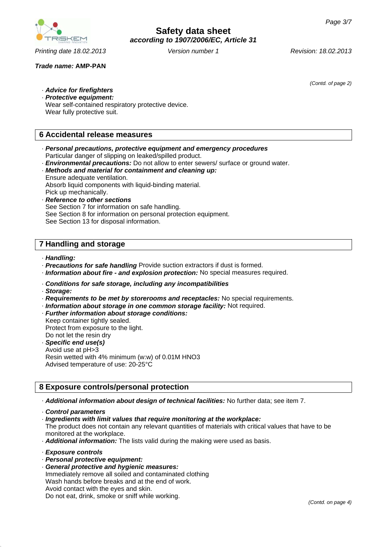*(Contd. of page 2)*



*Printing date 18.02.2013 Revision: 18.02.2013 Version number 1*

· *Advice for firefighters* · *Protective equipment:* Wear self-contained respiratory protective device. Wear fully protective suit.

# **6 Accidental release measures**

- · *Personal precautions, protective equipment and emergency procedures* Particular danger of slipping on leaked/spilled product.
- · *Environmental precautions:* Do not allow to enter sewers/ surface or ground water.
- · *Methods and material for containment and cleaning up:* Ensure adequate ventilation. Absorb liquid components with liquid-binding material. Pick up mechanically.
- · *Reference to other sections* See Section 7 for information on safe handling. See Section 8 for information on personal protection equipment. See Section 13 for disposal information.

# **7 Handling and storage**

- · *Handling:*
- · *Precautions for safe handling* Provide suction extractors if dust is formed.
- · *Information about fire and explosion protection:* No special measures required.
- · *Conditions for safe storage, including any incompatibilities*
- · *Storage:*
- · *Requirements to be met by storerooms and receptacles:* No special requirements.
- · *Information about storage in one common storage facility:* Not required.
- · *Further information about storage conditions:*
- Keep container tightly sealed. Protect from exposure to the light. Do not let the resin dry · *Specific end use(s)*
- Avoid use at pH>3 Resin wetted with 4% minimum (w:w) of 0.01M HNO3 Advised temperature of use: 20-25°C

# **8 Exposure controls/personal protection**

- · *Additional information about design of technical facilities:* No further data; see item 7.
- · *Control parameters*
- · *Ingredients with limit values that require monitoring at the workplace:*

The product does not contain any relevant quantities of materials with critical values that have to be monitored at the workplace.

- · *Additional information:* The lists valid during the making were used as basis.
- · *Exposure controls*
- · *Personal protective equipment:*
- · *General protective and hygienic measures:* Immediately remove all soiled and contaminated clothing Wash hands before breaks and at the end of work. Avoid contact with the eyes and skin. Do not eat, drink, smoke or sniff while working.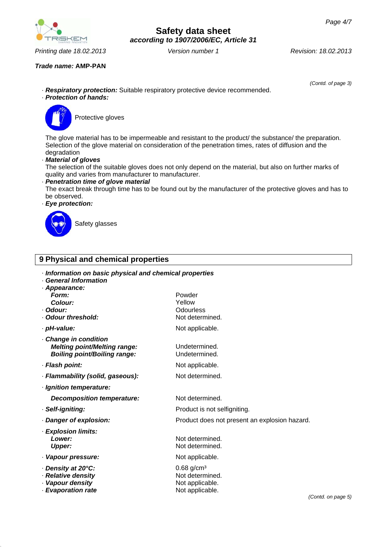

*Printing date 18.02.2013 Revision: 18.02.2013 Version number 1*

# **Safety data sheet** *according to 1907/2006/EC, Article 31*

*Trade name:* **AMP-PAN**

· *Respiratory protection:* Suitable respiratory protective device recommended.

*(Contd. of page 3)*

# · *Protection of hands:*



Protective gloves

The glove material has to be impermeable and resistant to the product/ the substance/ the preparation. Selection of the glove material on consideration of the penetration times, rates of diffusion and the degradation

### · *Material of gloves*

The selection of the suitable gloves does not only depend on the material, but also on further marks of quality and varies from manufacturer to manufacturer.

## · *Penetration time of glove material*

The exact break through time has to be found out by the manufacturer of the protective gloves and has to be observed.

### · *Eye protection:*



Safety glasses

# **9 Physical and chemical properties**

| · Information on basic physical and chemical properties<br><b>General Information</b><br>· Appearance: |                                                                                   |
|--------------------------------------------------------------------------------------------------------|-----------------------------------------------------------------------------------|
| Form:<br>Colour:<br>· Odour:<br>Odour threshold:                                                       | Powder<br>Yellow<br><b>Odourless</b><br>Not determined.                           |
| · pH-value:                                                                                            | Not applicable.                                                                   |
| Change in condition<br><b>Melting point/Melting range:</b><br><b>Boiling point/Boiling range:</b>      | Undetermined.<br>Undetermined.                                                    |
| · Flash point:                                                                                         | Not applicable.                                                                   |
| · Flammability (solid, gaseous):                                                                       | Not determined.                                                                   |
| · Ignition temperature:                                                                                |                                                                                   |
| Decomposition temperature:                                                                             | Not determined.                                                                   |
| · Self-igniting:                                                                                       | Product is not selfigniting.                                                      |
| Danger of explosion:                                                                                   | Product does not present an explosion hazard.                                     |
| · Explosion limits:<br>Lower:<br>Upper:                                                                | Not determined.<br>Not determined.                                                |
| · Vapour pressure:                                                                                     | Not applicable.                                                                   |
| Density at 20°C:<br>· Relative density<br>· Vapour density<br>· Evaporation rate                       | $0.68$ g/cm <sup>3</sup><br>Not determined.<br>Not applicable.<br>Not applicable. |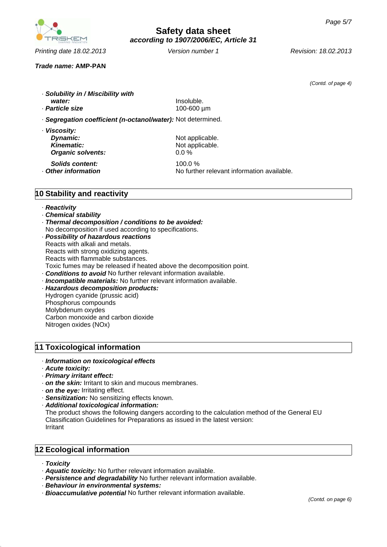

*Printing date 18.02.2013 Revision: 18.02.2013 Version number 1*

*(Contd. of page 4)*

*Trade name:* **AMP-PAN**

· *Solubility in / Miscibility with water:* Insoluble. · *Particle size* 100-600 µm · *Segregation coefficient (n-octanol/water):* Not determined. · *Viscosity:* **Dynamic:** Not applicable.

**Kinematic:** Not applicable. *Organic solvents:* 0.0 %

*Solids content:* 100.0 % • **Other information** No further relevant information available.

# **10 Stability and reactivity**

#### · *Reactivity*

- · *Chemical stability*
- · *Thermal decomposition / conditions to be avoided:*
- No decomposition if used according to specifications.
- · *Possibility of hazardous reactions* Reacts with alkali and metals. Reacts with strong oxidizing agents. Reacts with flammable substances. Toxic fumes may be released if heated above the decomposition point. · *Conditions to avoid* No further relevant information available. · *Incompatible materials:* No further relevant information available. · *Hazardous decomposition products:*
- Hydrogen cyanide (prussic acid) Phosphorus compounds Molybdenum oxydes Carbon monoxide and carbon dioxide Nitrogen oxides (NOx)

## **11 Toxicological information**

#### · *Information on toxicological effects*

- · *Acute toxicity:*
- · *Primary irritant effect:*
- · *on the skin:* Irritant to skin and mucous membranes.
- · *on the eye:* Irritating effect.
- · *Sensitization:* No sensitizing effects known.
- · *Additional toxicological information:*

The product shows the following dangers according to the calculation method of the General EU Classification Guidelines for Preparations as issued in the latest version: Irritant

## **12 Ecological information**

- · *Toxicity*
- · *Aquatic toxicity:* No further relevant information available.
- · *Persistence and degradability* No further relevant information available.
- · *Behaviour in environmental systems:*
- · *Bioaccumulative potential* No further relevant information available.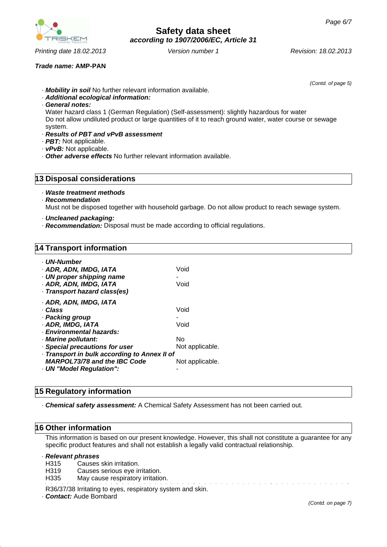Water hazard class 1 (German Regulation) (Self-assessment): slightly hazardous for water

Do not allow undiluted product or large quantities of it to reach ground water, water course or sewage

· *vPvB:* Not applicable. · *Other adverse effects* No further relevant information available.

· *Mobility in soil* No further relevant information available.

### **13 Disposal considerations**

· *Additional ecological information:*

· *Results of PBT and vPvB assessment*

- · *Waste treatment methods*
- · *Recommendation*

Must not be disposed together with household garbage. Do not allow product to reach sewage system.

- · *Uncleaned packaging:*
- · *Recommendation:* Disposal must be made according to official regulations.

### **14 Transport information**

| . UN-Number<br>· ADR, ADN, IMDG, IATA<br>· UN proper shipping name<br>· ADR, ADN, IMDG, IATA<br>· Transport hazard class(es) | Void<br>Void    |
|------------------------------------------------------------------------------------------------------------------------------|-----------------|
| · ADR, ADN, IMDG, IATA<br>· Class<br>· Packing group<br>· ADR, IMDG, IATA<br>· Environmental hazards:                        | Void<br>Void    |
| · Marine pollutant:                                                                                                          | No              |
| · Special precautions for user                                                                                               | Not applicable. |
| Transport in bulk according to Annex II of                                                                                   |                 |
| <b>MARPOL73/78 and the IBC Code</b>                                                                                          | Not applicable. |
| · UN "Model Regulation":                                                                                                     |                 |

## **15 Regulatory information**

· *Chemical safety assessment:* A Chemical Safety Assessment has not been carried out.

### **16 Other information**

This information is based on our present knowledge. However, this shall not constitute a guarantee for any specific product features and shall not establish a legally valid contractual relationship.

· *Relevant phrases*

- H315 Causes skin irritation.
- H319 Causes serious eye irritation.
- H335 May cause respiratory irritation.

R36/37/38 Irritating to eyes, respiratory system and skin.

· *Contact:* Aude Bombard

*Printing date 18.02.2013 Revision: 18.02.2013 Version number 1*

*(Contd. of page 5)*



*Trade name:* **AMP-PAN**

· *General notes:*

· *PBT:* Not applicable.

system.